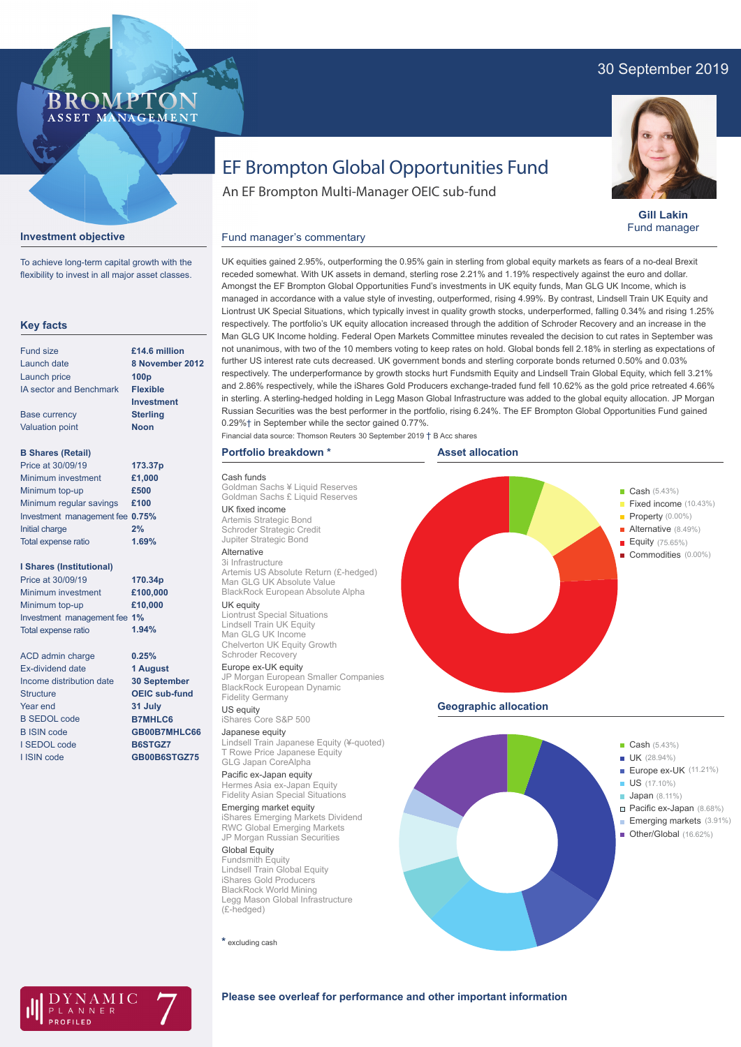## 30 September 2019



**Gill Lakin** Fund manager

# EF Brompton Global Opportunities Fund

An EF Brompton Multi-Manager OEIC sub-fund

### **Investment objective**

BROMP

ASSET MANAGEMENT

To achieve long-term capital growth with the flexibility to invest in all major asset classes.

#### **Key facts**

| <b>Fund size</b>                | £14.6 million    |
|---------------------------------|------------------|
| Launch date                     | 8 November 2012  |
| Launch price                    | 100 <sub>p</sub> |
| <b>IA sector and Benchmark</b>  | <b>Flexible</b>  |
|                                 | Investment       |
| <b>Base currency</b>            | <b>Sterling</b>  |
| <b>Valuation point</b>          | <b>Noon</b>      |
| <b>B Shares (Retail)</b>        |                  |
| Price at 30/09/19               | 173.37p          |
| Minimum investment              | £1,000           |
| Minimum top-up                  | £500             |
| Minimum regular savings         | £100             |
| Investment management fee 0.75% |                  |
| Initial charge                  | 2%               |
| <b>Total expense ratio</b>      | 1.69%            |

#### **I Shares (Institutional)**

| Price at 30/09/19            | 170.34p  |
|------------------------------|----------|
| Minimum investment           | £100,000 |
| Minimum top-up               | £10,000  |
| Investment management fee 1% |          |
| Total expense ratio          | 1.94%    |

ACD admin charge Ex-dividend date Income distribution date **Structure** Year end B SEDOL code B ISIN code I SEDOL code I ISIN code **0.25% 1 August 30 September OEIC sub-fund 31 July B7MHLC6 GB00B7MHLC66 B6STGZ7 GB00B6STGZ75**

UK equities gained 2.95%, outperforming the 0.95% gain in sterling from global equity markets as fears of a no-deal Brexit receded somewhat. With UK assets in demand, sterling rose 2.21% and 1.19% respectively against the euro and dollar. Amongst the EF Brompton Global Opportunities Fund's investments in UK equity funds, Man GLG UK Income, which is managed in accordance with a value style of investing, outperformed, rising 4.99%. By contrast, Lindsell Train UK Equity and Liontrust UK Special Situations, which typically invest in quality growth stocks, underperformed, falling 0.34% and rising 1.25% respectively. The portfolio's UK equity allocation increased through the addition of Schroder Recovery and an increase in the Man GLG UK Income holding. Federal Open Markets Committee minutes revealed the decision to cut rates in September was not unanimous, with two of the 10 members voting to keep rates on hold. Global bonds fell 2.18% in sterling as expectations of further US interest rate cuts decreased. UK government bonds and sterling corporate bonds returned 0.50% and 0.03% respectively. The underperformance by growth stocks hurt Fundsmith Equity and Lindsell Train Global Equity, which fell 3.21% and 2.86% respectively, while the iShares Gold Producers exchange-traded fund fell 10.62% as the gold price retreated 4.66% in sterling. A sterling-hedged holding in Legg Mason Global Infrastructure was added to the global equity allocation. JP Morgan Russian Securities was the best performer in the portfolio, rising 6.24%. The EF Brompton Global Opportunities Fund gained 0.29%† in September while the sector gained 0.77%. **Asset allocation Portfolio breakdown \*** Financial data source: Thomson Reuters 30 September 2019 † B Acc shares

Cash funds Goldman Sachs ¥ Liquid Reserves Goldman Sachs £ Liquid Reserves UK fixed income Artemis Strategic Bond Schroder Strategic Credit Jupiter Strategic Bond

Fund manager's commentary

### Alternative

3i Infrastructure Artemis US Absolute Return (£-hedged) Man GLG UK Absolute Value BlackRock European Absolute Alpha UK equity

Liontrust Special Situations Lindsell Train UK Equity Man GLG UK Income Chelverton UK Equity Growth Schroder Recovery

Europe ex-UK equity

JP Morgan European Smaller Companies BlackRock European Dynamic Fidelity Germany

# US equity iShares Core S&P 500

Japanese equity Lindsell Train Japanese Equity (¥-quoted) T Rowe Price Japanese Equity GLG Japan CoreAlpha

#### Pacific ex-Japan equity Hermes Asia ex-Japan Equity

Fidelity Asian Special Situations Emerging market equity iShares Emerging Markets Dividend RWC Global Emerging Markets JP Morgan Russian Securities

Global Equity Fundsmith Equity Lindsell Train Global Equity iShares Gold Producers BlackRock World Mining Legg Mason Global Infrastructure (£-hedged)

**\*** excluding cash



#### **Please see overleaf for performance and other important information**